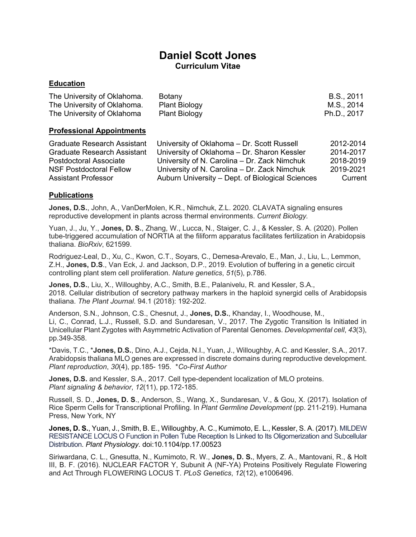# **Daniel Scott Jones Curriculum Vitae**

#### **Education**

| The University of Oklahoma. | Botany               | B.S., 2011  |
|-----------------------------|----------------------|-------------|
| The University of Oklahoma. | <b>Plant Biology</b> | M.S., 2014  |
| The University of Oklahoma  | <b>Plant Biology</b> | Ph.D., 2017 |

#### **Professional Appointments**

| <b>Graduate Research Assistant</b> | University of Oklahoma - Dr. Scott Russell       | 2012-2014 |
|------------------------------------|--------------------------------------------------|-----------|
| <b>Graduate Research Assistant</b> | University of Oklahoma - Dr. Sharon Kessler      | 2014-2017 |
| <b>Postdoctoral Associate</b>      | University of N. Carolina – Dr. Zack Nimchuk     | 2018-2019 |
| <b>NSF Postdoctoral Fellow</b>     | University of N. Carolina – Dr. Zack Nimchuk     | 2019-2021 |
| <b>Assistant Professor</b>         | Auburn University – Dept. of Biological Sciences | Current   |

### **Publications**

**Jones, D.S.**, John, A., VanDerMolen, K.R., Nimchuk, Z.L. 2020. CLAVATA signaling ensures reproductive development in plants across thermal environments. *Current Biology.*

Yuan, J., Ju, Y., **Jones, D. S.**, Zhang, W., Lucca, N., Staiger, C. J., & Kessler, S. A. (2020). Pollen tube-triggered accumulation of NORTIA at the filiform apparatus facilitates fertilization in Arabidopsis thaliana. *BioRxiv*, 621599.

Rodriguez-Leal, D., Xu, C., Kwon, C.T., Soyars, C., Demesa-Arevalo, E., Man, J., Liu, L., Lemmon, Z.H., **Jones, D.S**., Van Eck, J. and Jackson, D.P., 2019. Evolution of buffering in a genetic circuit controlling plant stem cell proliferation. *Nature genetics*, *51*(5), p.786.

**Jones, D.S.**, Liu, X., Willoughby, A.C., Smith, B.E., Palanivelu, R. and Kessler, S.A., 2018. Cellular distribution of secretory pathway markers in the haploid synergid cells of Arabidopsis thaliana. *The Plant Journal*. 94.1 (2018): 192-202.

Anderson, S.N., Johnson, C.S., Chesnut, J., **Jones, D.S.**, Khanday, I., Woodhouse, M., Li, C., Conrad, L.J., Russell, S.D. and Sundaresan, V., 2017. The Zygotic Transition Is Initiated in Unicellular Plant Zygotes with Asymmetric Activation of Parental Genomes. *Developmental cell*, *43*(3), pp.349-358.

\*Davis, T.C., \***Jones, D.S.**, Dino, A.J., Cejda, N.I., Yuan, J., Willoughby, A.C. and Kessler, S.A., 2017. Arabidopsis thaliana MLO genes are expressed in discrete domains during reproductive development. *Plant reproduction*, *30*(4), pp.185- 195. \**Co-First Author*

**Jones, D.S.** and Kessler, S.A., 2017. Cell type-dependent localization of MLO proteins. *Plant signaling & behavior*, *12*(11), pp.172-185.

Russell, S. D., **Jones, D. S**., Anderson, S., Wang, X., Sundaresan, V., & Gou, X. (2017). Isolation of Rice Sperm Cells for Transcriptional Profiling. In *Plant Germline Development* (pp. 211-219). Humana Press, New York, NY

**Jones, D. S.**, Yuan, J., Smith, B. E., Willoughby, A. C., Kumimoto, E. L., Kessler, S. A. (2017). MILDEW RESISTANCE LOCUS O Function in Pollen Tube Reception Is Linked to Its Oligomerization and Subcellular Distribution. *Plant Physiology*. doi:10.1104/pp.17.00523

Siriwardana, C. L., Gnesutta, N., Kumimoto, R. W., **Jones, D. S.**, Myers, Z. A., Mantovani, R., & Holt III, B. F. (2016). NUCLEAR FACTOR Y, Subunit A (NF-YA) Proteins Positively Regulate Flowering and Act Through FLOWERING LOCUS T. *PLoS Genetics*, *12*(12), e1006496.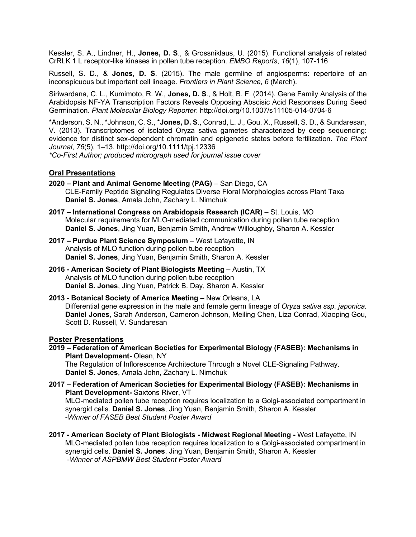Kessler, S. A., Lindner, H., **Jones, D. S**., & Grossniklaus, U. (2015). Functional analysis of related CrRLK 1 L receptor-like kinases in pollen tube reception. *EMBO Reports*, *16*(1), 107-116

Russell, S. D., & **Jones, D. S**. (2015). The male germline of angiosperms: repertoire of an inconspicuous but important cell lineage. *Frontiers in Plant Science*, *6* (March).

Siriwardana, C. L., Kumimoto, R. W., **Jones, D. S**., & Holt, B. F. (2014). Gene Family Analysis of the Arabidopsis NF-YA Transcription Factors Reveals Opposing Abscisic Acid Responses During Seed Germination. *Plant Molecular Biology Reporter*. http://doi.org/10.1007/s11105-014-0704-6

\*Anderson, S. N., \*Johnson, C. S., \***Jones, D. S**., Conrad, L. J., Gou, X., Russell, S. D., & Sundaresan, V. (2013). Transcriptomes of isolated Oryza sativa gametes characterized by deep sequencing: evidence for distinct sex-dependent chromatin and epigenetic states before fertilization. *The Plant Journal*, *76*(5), 1–13. http://doi.org/10.1111/tpj.12336

*\*Co-First Author; produced micrograph used for journal issue cover*

#### **Oral Presentations**

- **2020 – Plant and Animal Genome Meeting (PAG)** San Diego, CA CLE-Family Peptide Signaling Regulates Diverse Floral Morphologies across Plant Taxa **Daniel S. Jones**, Amala John, Zachary L. Nimchuk
- **2017 – International Congress on Arabidopsis Research (ICAR)**  St. Louis, MO Molecular requirements for MLO-mediated communication during pollen tube reception **Daniel S. Jones**, Jing Yuan, Benjamin Smith, Andrew Willoughby, Sharon A. Kessler
- **2017 – Purdue Plant Science Symposium**  West Lafayette, IN Analysis of MLO function during pollen tube reception **Daniel S. Jones**, Jing Yuan, Benjamin Smith, Sharon A. Kessler
- **2016 - American Society of Plant Biologists Meeting –** Austin, TX Analysis of MLO function during pollen tube reception **Daniel S. Jones**, Jing Yuan, Patrick B. Day, Sharon A. Kessler
- **2013 - Botanical Society of America Meeting –** New Orleans, LA Differential gene expression in the male and female germ lineage of *Oryza sativa ssp. japonica.* **Daniel Jones**, Sarah Anderson, Cameron Johnson, Meiling Chen, Liza Conrad, Xiaoping Gou, Scott D. Russell, V. Sundaresan

#### **Poster Presentations**

**2019 – Federation of American Societies for Experimental Biology (FASEB): Mechanisms in Plant Development-** Olean, NY

The Regulation of Inflorescence Architecture Through a Novel CLE-Signaling Pathway. **Daniel S. Jones**, Amala John, Zachary L. Nimchuk

**2017 – Federation of American Societies for Experimental Biology (FASEB): Mechanisms in Plant Development-** Saxtons River, VT MLO-mediated pollen tube reception requires localization to a Golgi-associated compartment in

synergid cells. **Daniel S. Jones**, Jing Yuan, Benjamin Smith, Sharon A. Kessler -*Winner of FASEB Best Student Poster Award* 

**2017 - American Society of Plant Biologists - Midwest Regional Meeting -** West Lafayette, IN MLO-mediated pollen tube reception requires localization to a Golgi-associated compartment in synergid cells. **Daniel S. Jones**, Jing Yuan, Benjamin Smith, Sharon A. Kessler -*Winner of ASPBMW Best Student Poster Award*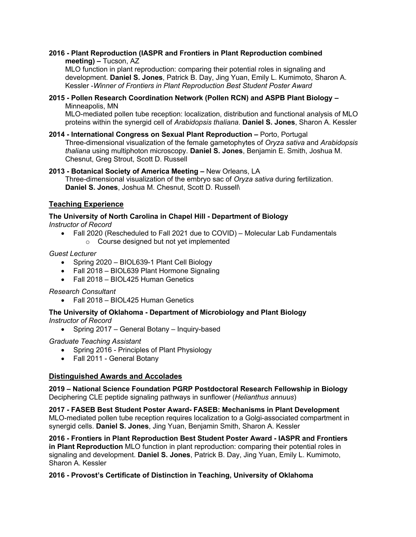#### **2016 - Plant Reproduction (IASPR and Frontiers in Plant Reproduction combined meeting) –** Tucson, AZ

MLO function in plant reproduction: comparing their potential roles in signaling and development. **Daniel S. Jones**, Patrick B. Day, Jing Yuan, Emily L. Kumimoto, Sharon A. Kessler -*Winner of Frontiers in Plant Reproduction Best Student Poster Award*

#### **2015 - Pollen Research Coordination Network (Pollen RCN) and ASPB Plant Biology –** Minneapolis, MN

MLO-mediated pollen tube reception: localization, distribution and functional analysis of MLO proteins within the synergid cell of *Arabidopsis thaliana*. **Daniel S. Jones**, Sharon A. Kessler

**2014 - International Congress on Sexual Plant Reproduction –** Porto, Portugal Three-dimensional visualization of the female gametophytes of *Oryza sativa* and *Arabidopsis thaliana* using multiphoton microscopy. **Daniel S. Jones**, Benjamin E. Smith, Joshua M. Chesnut, Greg Strout, Scott D. Russell

#### **2013 - Botanical Society of America Meeting –** New Orleans, LA Three-dimensional visualization of the embryo sac of *Oryza sativa* during fertilization. **Daniel S. Jones**, Joshua M. Chesnut, Scott D. Russell\

# **Teaching Experience**

#### **The University of North Carolina in Chapel Hill - Department of Biology** *Instructor of Record*

- Fall 2020 (Rescheduled to Fall 2021 due to COVID) Molecular Lab Fundamentals
	- o Course designed but not yet implemented

## *Guest Lecturer*

- Spring 2020 BIOL639-1 Plant Cell Biology
- Fall 2018 BIOL639 Plant Hormone Signaling
- Fall 2018 BIOL425 Human Genetics

### *Research Consultant*

• Fall 2018 – BIOL425 Human Genetics

# **The University of Oklahoma - Department of Microbiology and Plant Biology**

*Instructor of Record*

• Spring 2017 – General Botany – Inquiry-based

### *Graduate Teaching Assistant*

- Spring 2016 Principles of Plant Physiology
- Fall 2011 General Botany

# **Distinguished Awards and Accolades**

**2019 – National Science Foundation PGRP Postdoctoral Research Fellowship in Biology** Deciphering CLE peptide signaling pathways in sunflower (*Helianthus annuus*)

**2017 - FASEB Best Student Poster Award- FASEB: Mechanisms in Plant Development** MLO-mediated pollen tube reception requires localization to a Golgi-associated compartment in synergid cells. **Daniel S. Jones**, Jing Yuan, Benjamin Smith, Sharon A. Kessler

**2016 - Frontiers in Plant Reproduction Best Student Poster Award - IASPR and Frontiers in Plant Reproduction** MLO function in plant reproduction: comparing their potential roles in signaling and development. **Daniel S. Jones**, Patrick B. Day, Jing Yuan, Emily L. Kumimoto, Sharon A. Kessler

# **2016 - Provost's Certificate of Distinction in Teaching, University of Oklahoma**